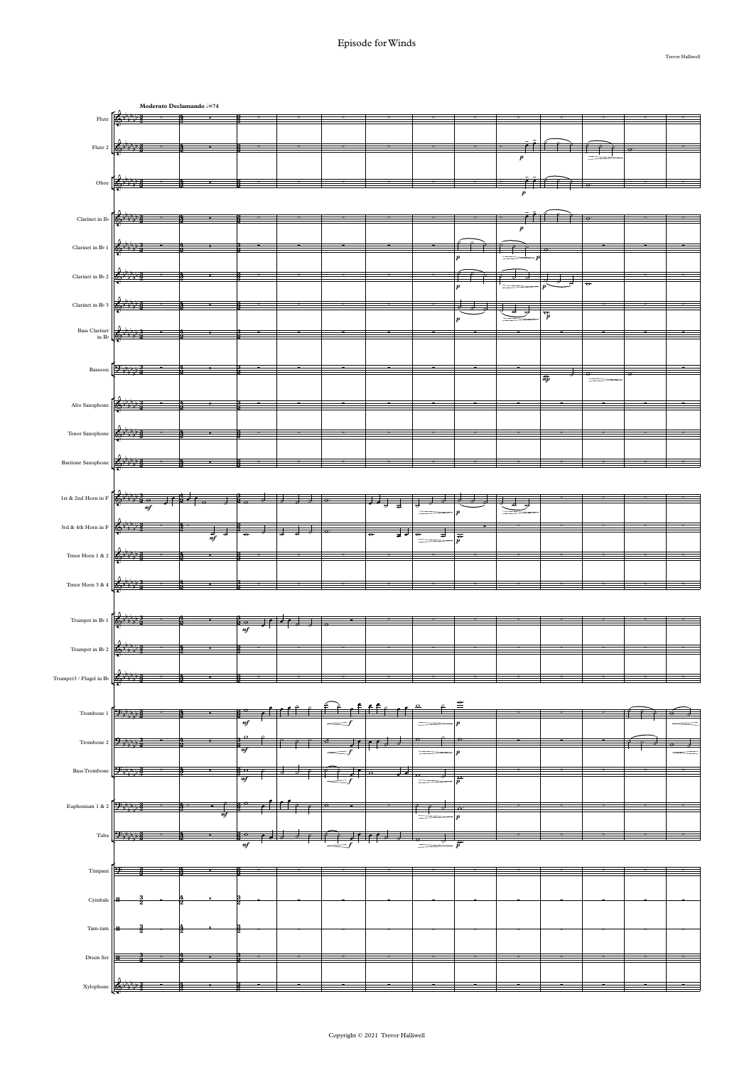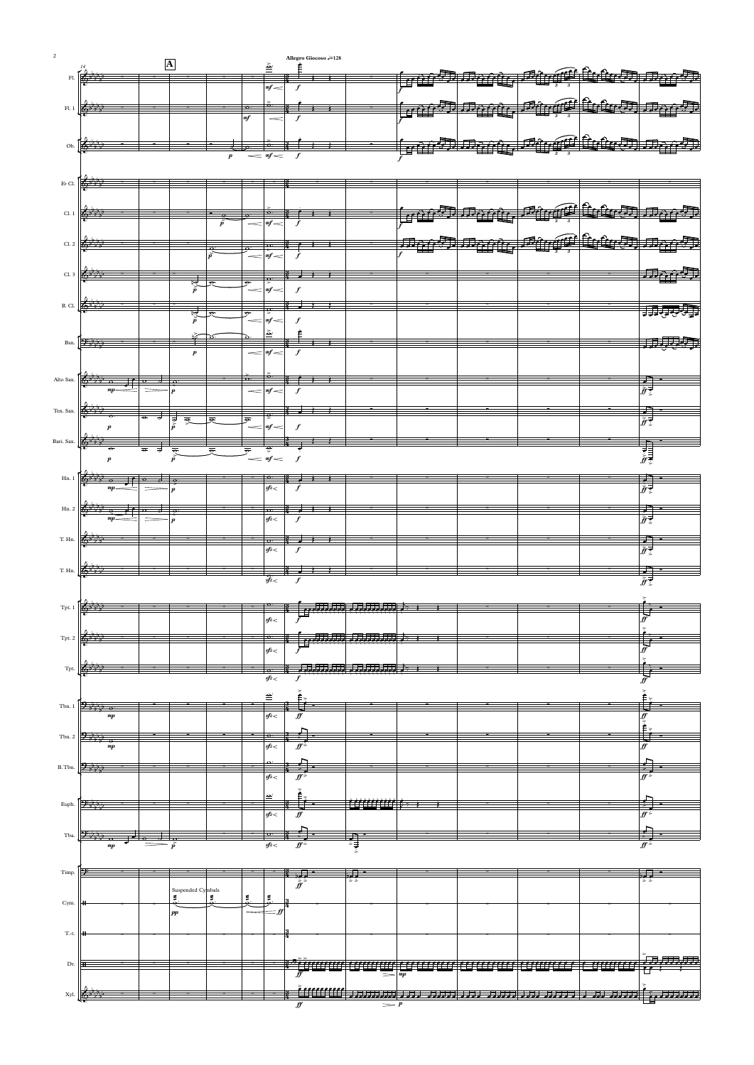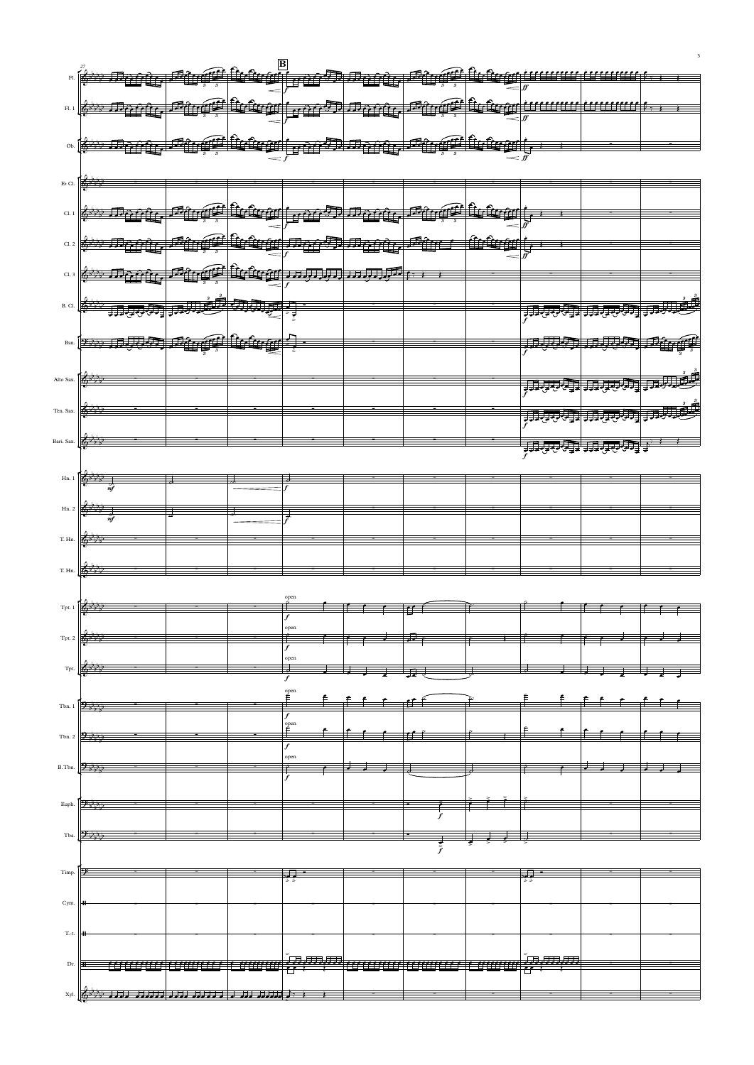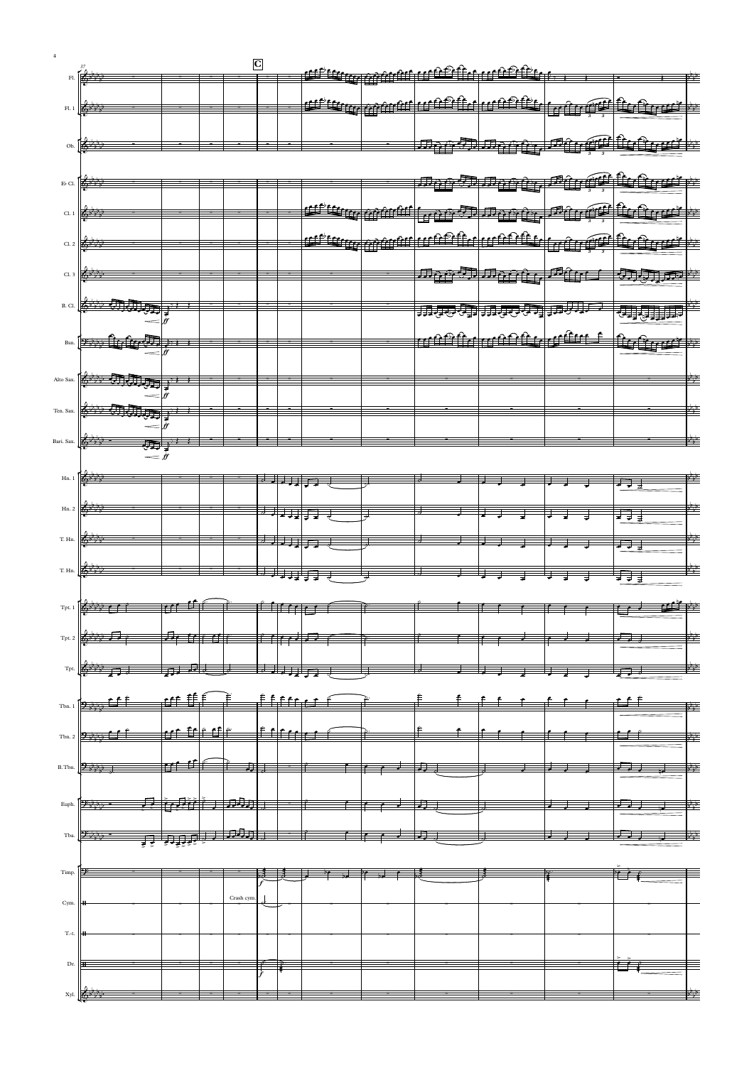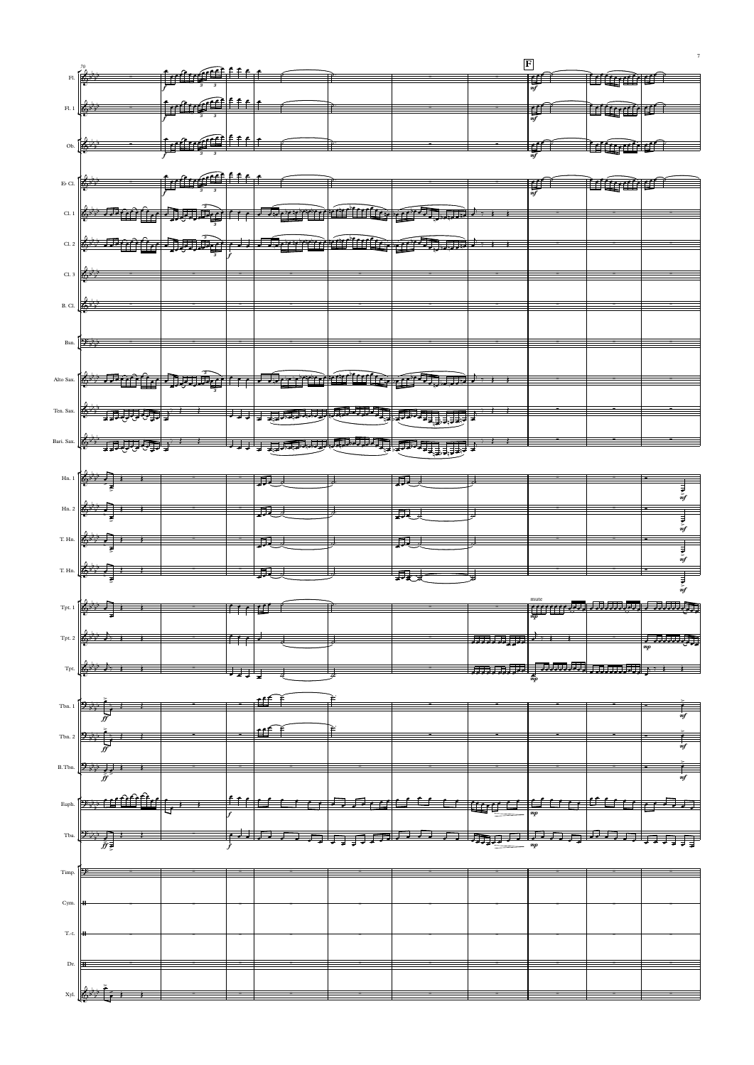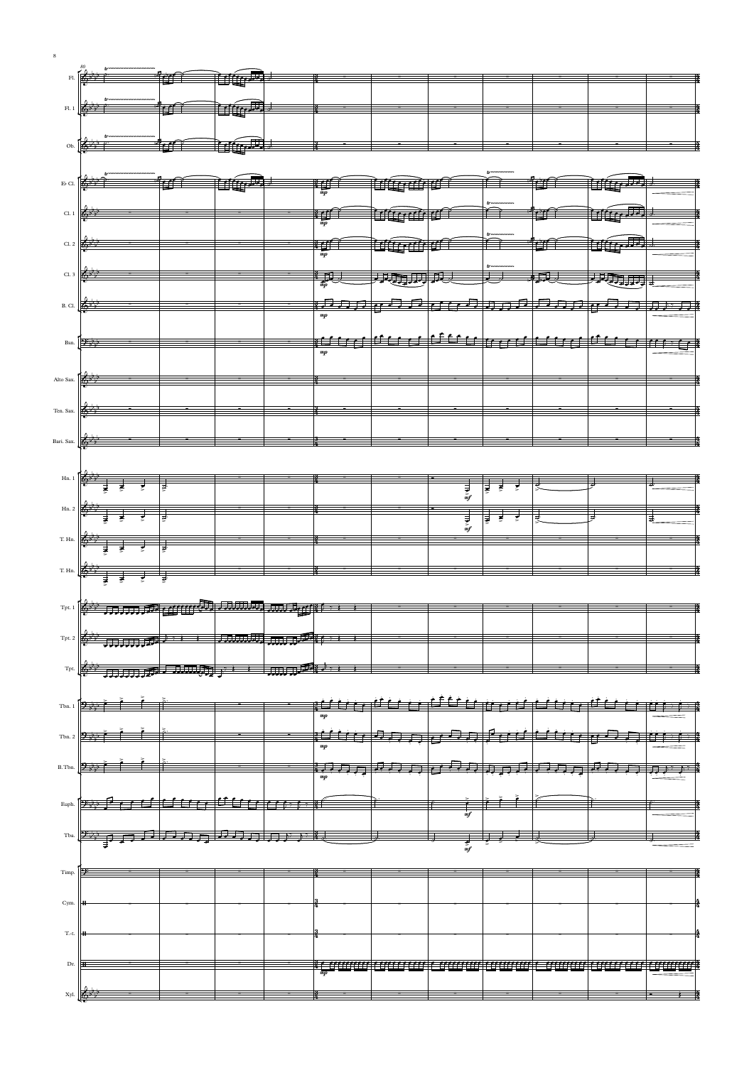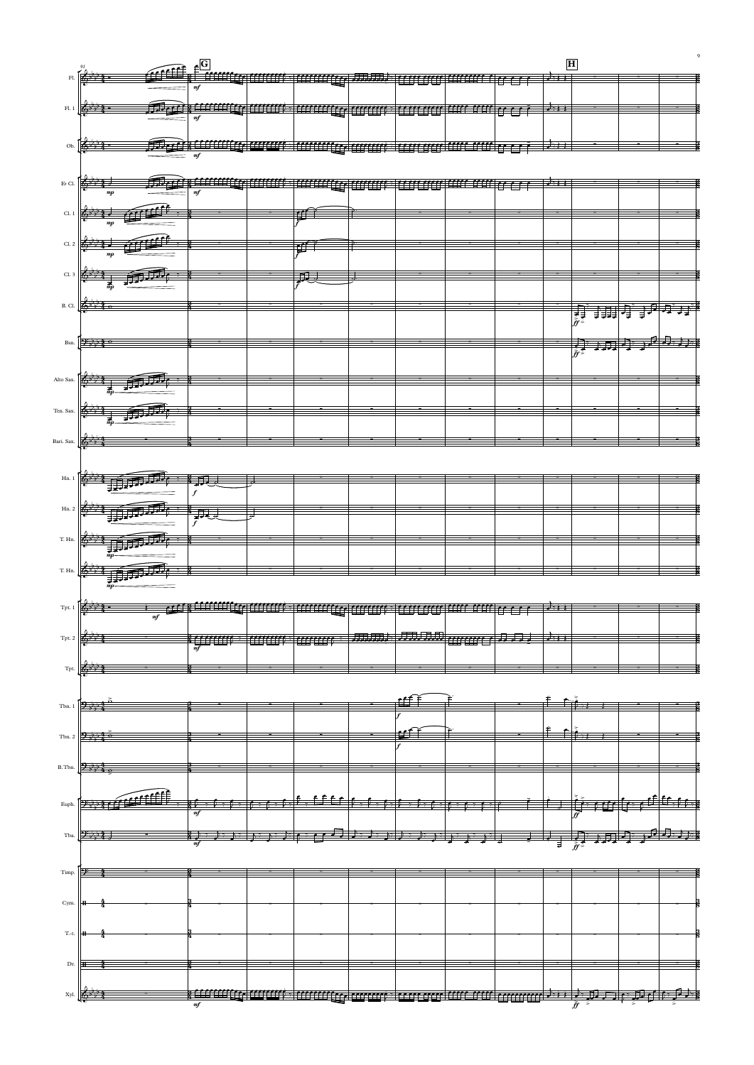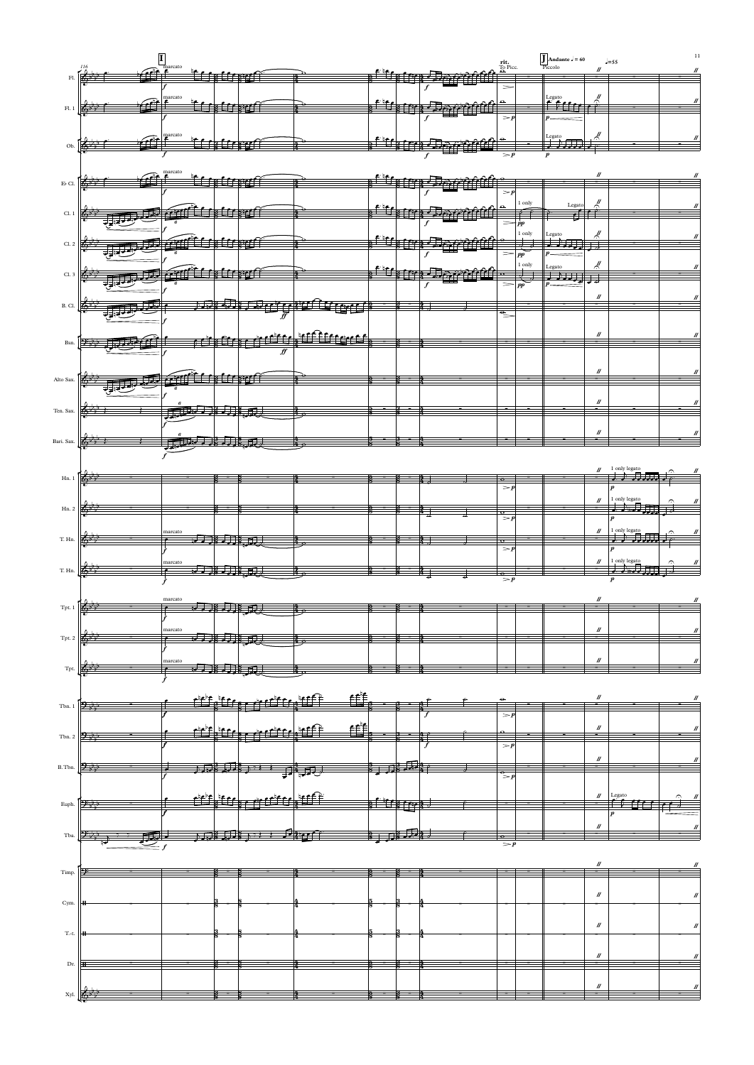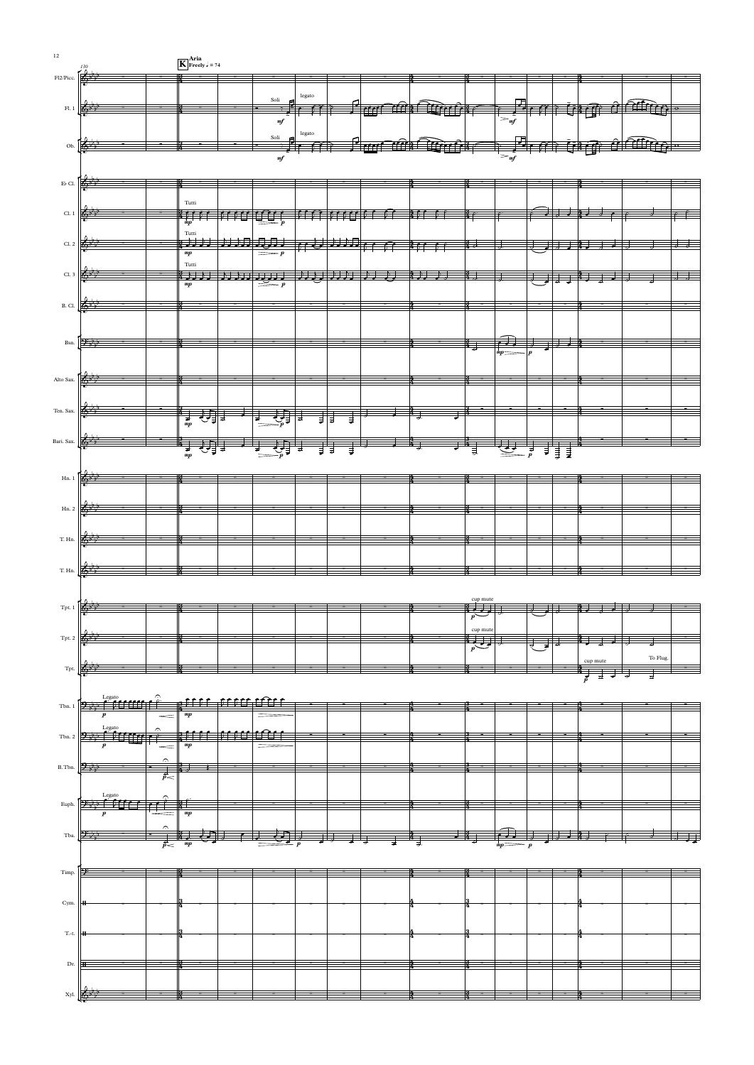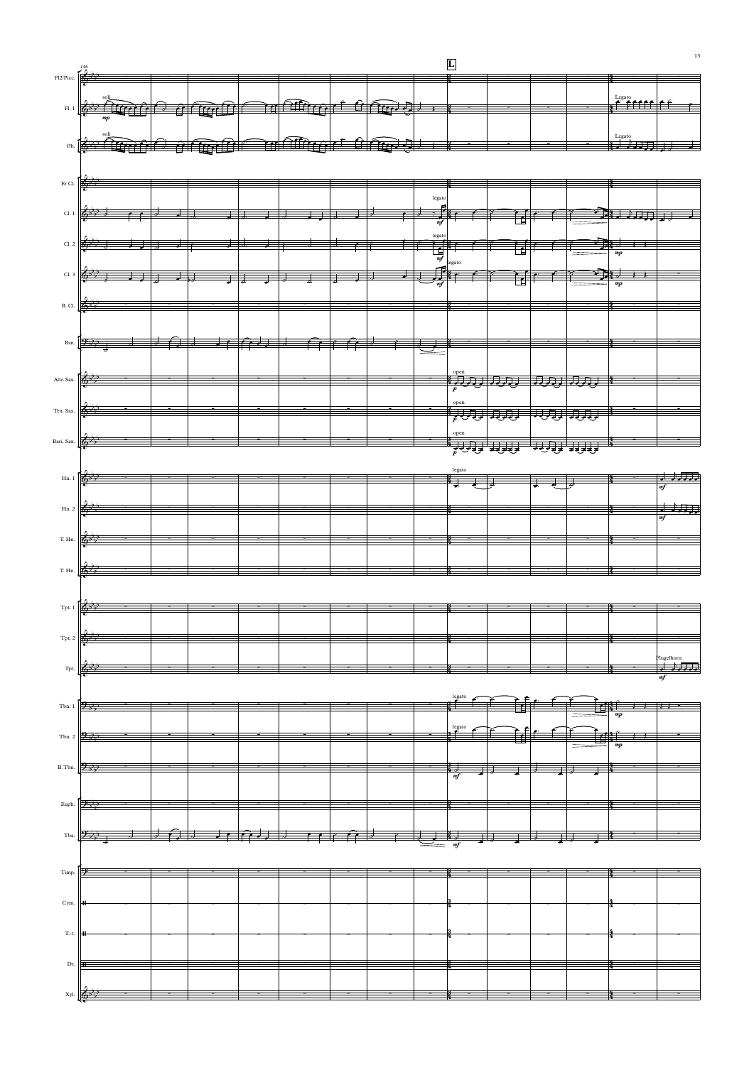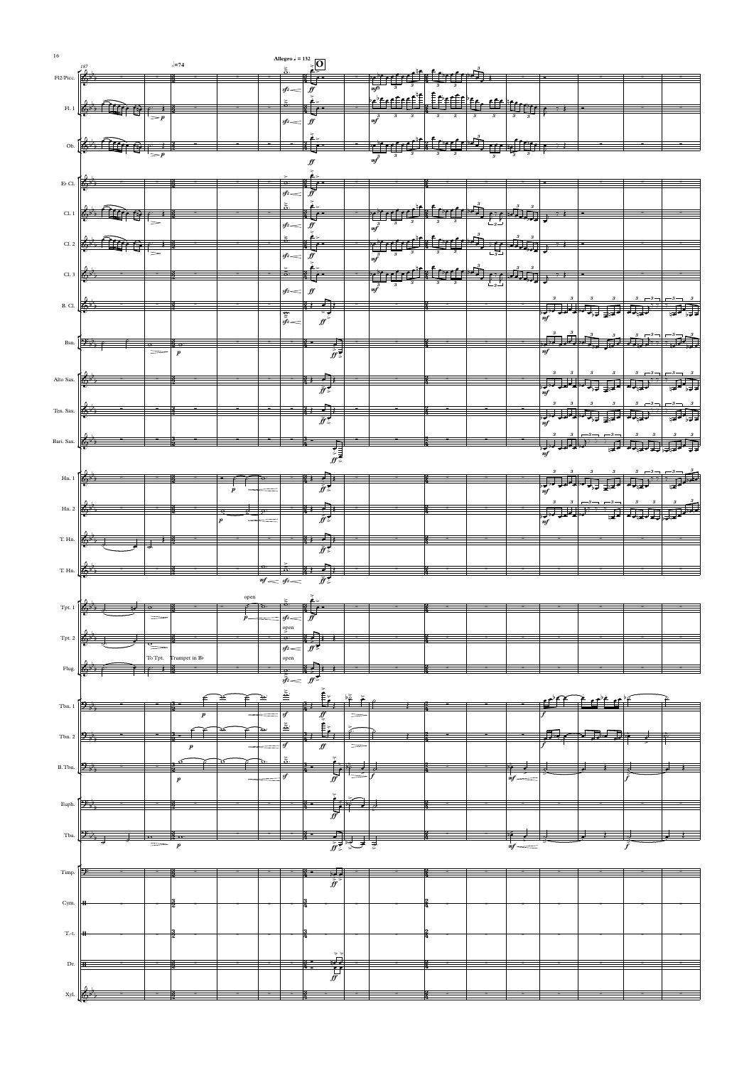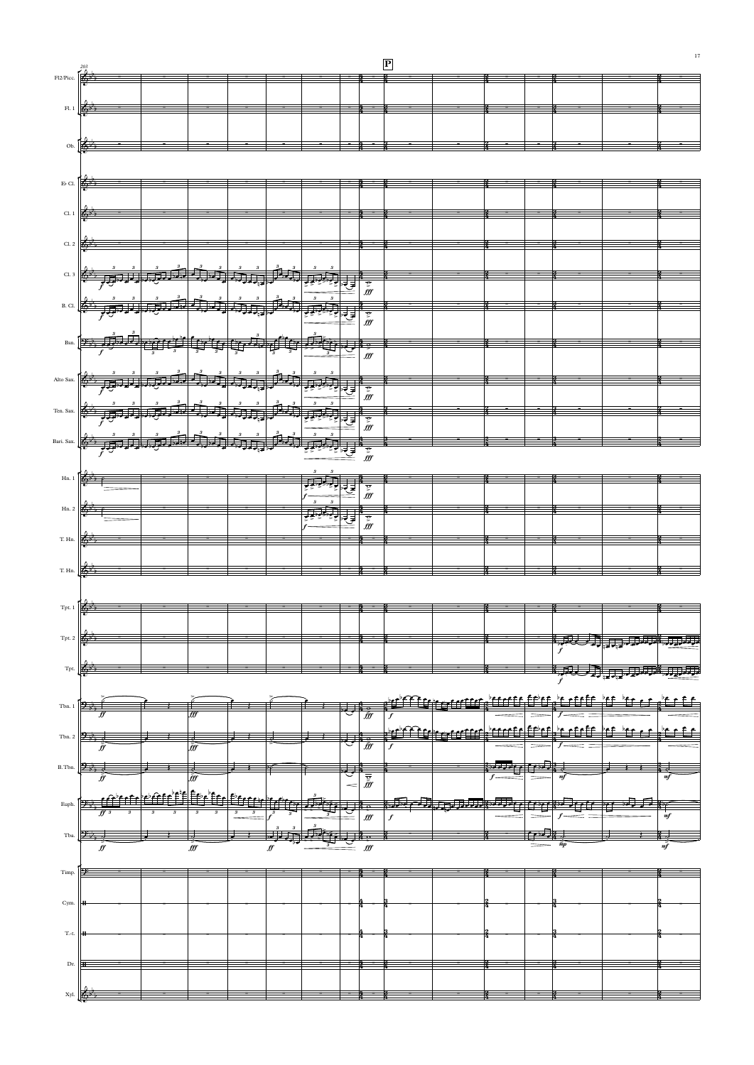

 $17\,$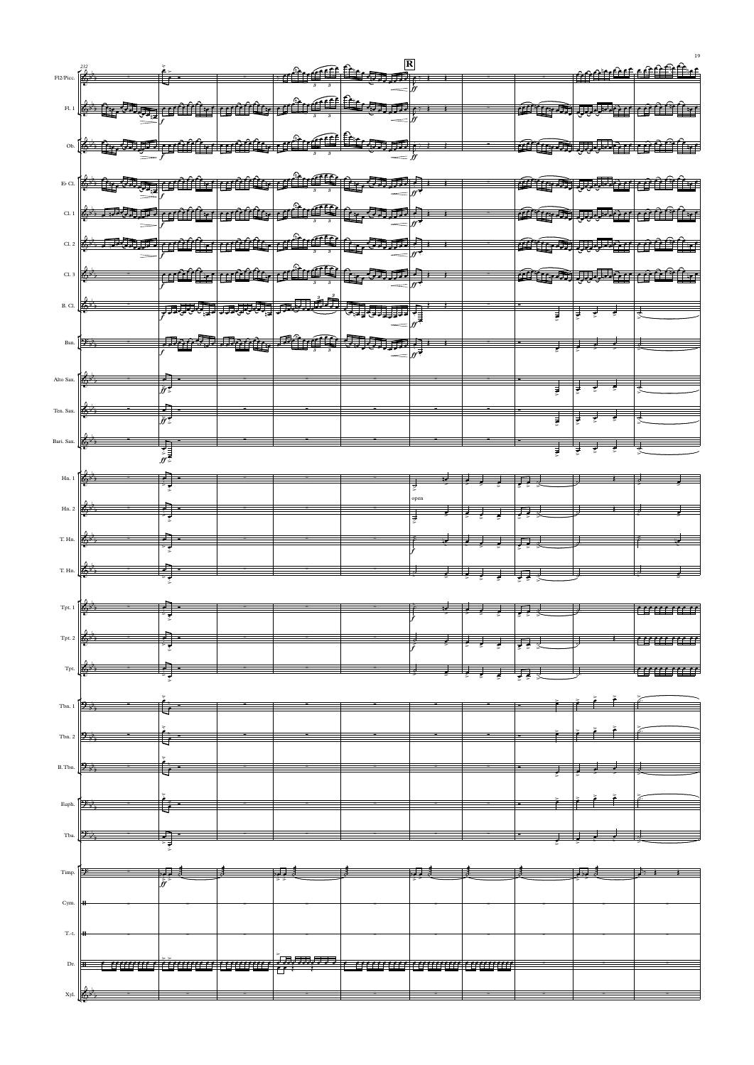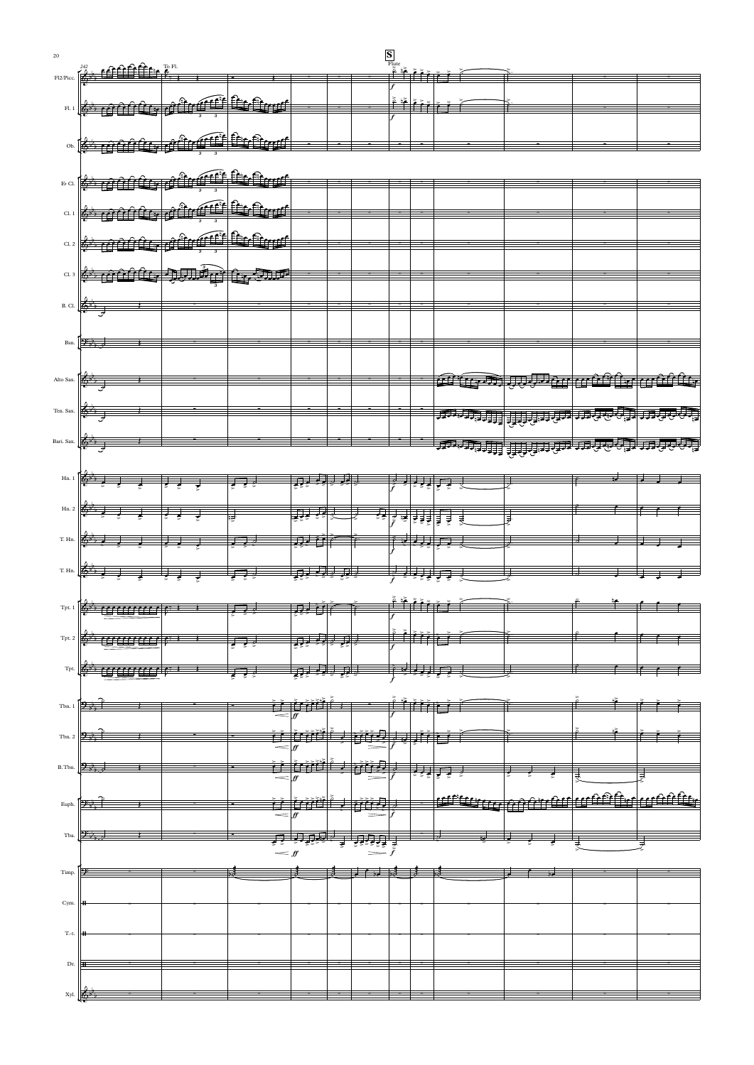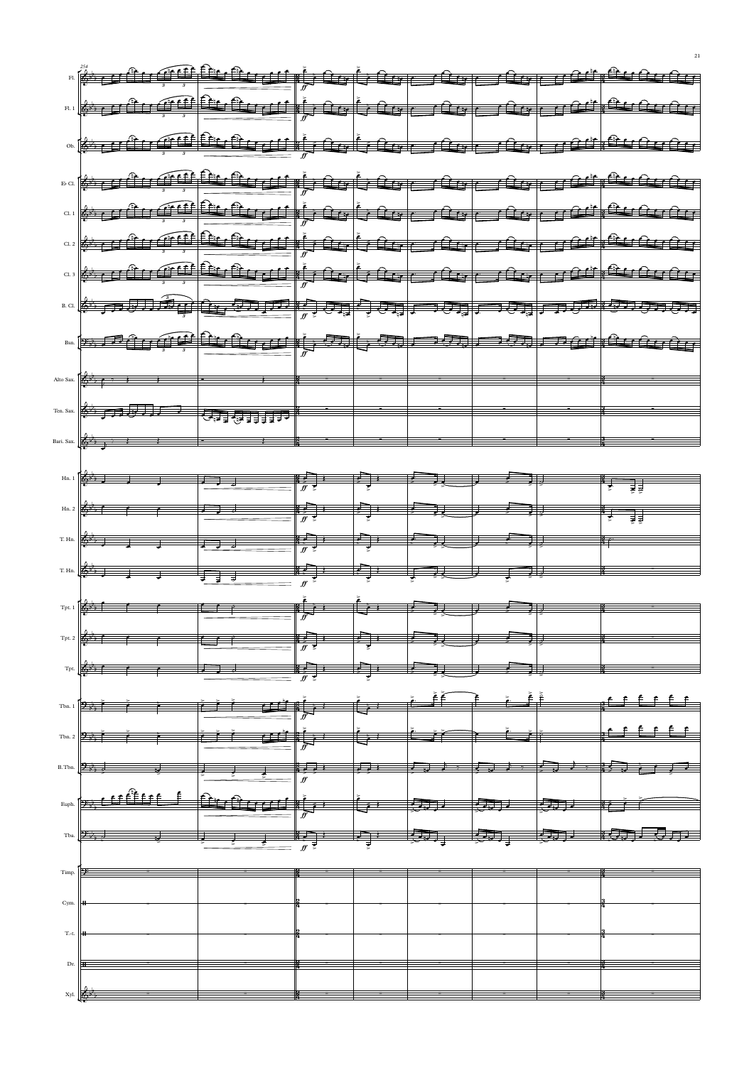